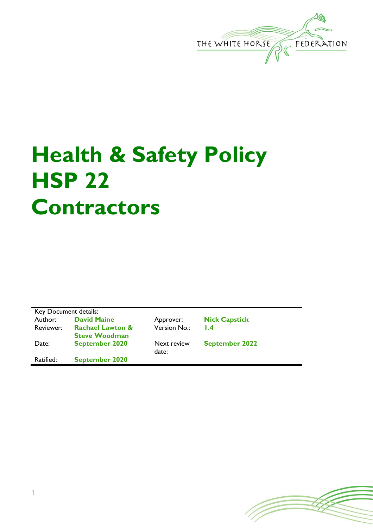

## **Health & Safety Policy HSP 22 Contractors**

| Key Document details: |                             |              |                       |  |
|-----------------------|-----------------------------|--------------|-----------------------|--|
| Author:               | <b>David Maine</b>          | Approver:    | <b>Nick Capstick</b>  |  |
| Reviewer:             | <b>Rachael Lawton &amp;</b> | Version No.: | $\mathsf{L}4$         |  |
|                       | <b>Steve Woodman</b>        |              |                       |  |
| Date:                 | <b>September 2020</b>       | Next review  | <b>September 2022</b> |  |
|                       |                             | date:        |                       |  |
| Ratified:             | <b>September 2020</b>       |              |                       |  |
|                       |                             |              |                       |  |

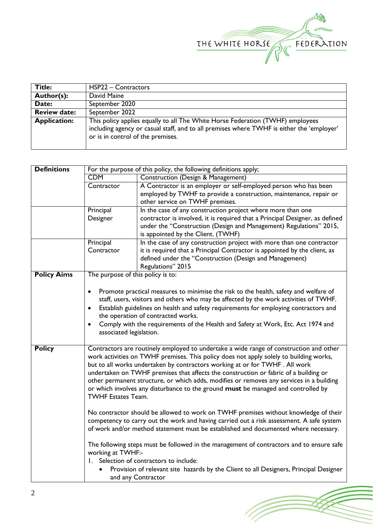

(Topon

| Title:              | HSP22 - Contractors                                                                                                                                                                                              |
|---------------------|------------------------------------------------------------------------------------------------------------------------------------------------------------------------------------------------------------------|
| Author(s):          | David Maine                                                                                                                                                                                                      |
| Date:               | September 2020                                                                                                                                                                                                   |
| <b>Review date:</b> | September 2022                                                                                                                                                                                                   |
| <b>Application:</b> | This policy applies equally to all The White Horse Federation (TWHF) employees<br>including agency or casual staff, and to all premises where TWHF is either the 'employer'<br>or is in control of the premises. |

| <b>Definitions</b> | For the purpose of this policy, the following definitions apply;                                                                                                                                                                                                                                                                                                                                                                                                                                                                                                      |                                                                                                                                                                               |  |
|--------------------|-----------------------------------------------------------------------------------------------------------------------------------------------------------------------------------------------------------------------------------------------------------------------------------------------------------------------------------------------------------------------------------------------------------------------------------------------------------------------------------------------------------------------------------------------------------------------|-------------------------------------------------------------------------------------------------------------------------------------------------------------------------------|--|
|                    | <b>CDM</b>                                                                                                                                                                                                                                                                                                                                                                                                                                                                                                                                                            | <b>Construction (Design &amp; Management)</b>                                                                                                                                 |  |
|                    | Contractor                                                                                                                                                                                                                                                                                                                                                                                                                                                                                                                                                            | A Contractor is an employer or self-employed person who has been                                                                                                              |  |
|                    |                                                                                                                                                                                                                                                                                                                                                                                                                                                                                                                                                                       | employed by TWHF to provide a construction, maintenance, repair or                                                                                                            |  |
|                    |                                                                                                                                                                                                                                                                                                                                                                                                                                                                                                                                                                       | other service on TWHF premises.                                                                                                                                               |  |
|                    | Principal                                                                                                                                                                                                                                                                                                                                                                                                                                                                                                                                                             | In the case of any construction project where more than one                                                                                                                   |  |
|                    | Designer                                                                                                                                                                                                                                                                                                                                                                                                                                                                                                                                                              | contractor is involved, it is required that a Principal Designer, as defined                                                                                                  |  |
|                    |                                                                                                                                                                                                                                                                                                                                                                                                                                                                                                                                                                       | under the "Construction (Design and Management) Regulations" 2015,                                                                                                            |  |
|                    |                                                                                                                                                                                                                                                                                                                                                                                                                                                                                                                                                                       | is appointed by the Client. (TWHF)                                                                                                                                            |  |
|                    | Principal                                                                                                                                                                                                                                                                                                                                                                                                                                                                                                                                                             | In the case of any construction project with more than one contractor                                                                                                         |  |
|                    | Contractor                                                                                                                                                                                                                                                                                                                                                                                                                                                                                                                                                            | it is required that a Principal Contractor is appointed by the client, as                                                                                                     |  |
|                    |                                                                                                                                                                                                                                                                                                                                                                                                                                                                                                                                                                       | defined under the "Construction (Design and Management)                                                                                                                       |  |
|                    |                                                                                                                                                                                                                                                                                                                                                                                                                                                                                                                                                                       | Regulations" 2015                                                                                                                                                             |  |
| <b>Policy Aims</b> | The purpose of this policy is to:                                                                                                                                                                                                                                                                                                                                                                                                                                                                                                                                     |                                                                                                                                                                               |  |
|                    | $\bullet$                                                                                                                                                                                                                                                                                                                                                                                                                                                                                                                                                             | Promote practical measures to minimise the risk to the health, safety and welfare of<br>staff, users, visitors and others who may be affected by the work activities of TWHF. |  |
|                    |                                                                                                                                                                                                                                                                                                                                                                                                                                                                                                                                                                       | Establish guidelines on health and safety requirements for employing contractors and                                                                                          |  |
|                    | the operation of contracted works.                                                                                                                                                                                                                                                                                                                                                                                                                                                                                                                                    |                                                                                                                                                                               |  |
|                    |                                                                                                                                                                                                                                                                                                                                                                                                                                                                                                                                                                       | Comply with the requirements of the Health and Safety at Work, Etc. Act 1974 and                                                                                              |  |
|                    | associated legislation.                                                                                                                                                                                                                                                                                                                                                                                                                                                                                                                                               |                                                                                                                                                                               |  |
|                    |                                                                                                                                                                                                                                                                                                                                                                                                                                                                                                                                                                       |                                                                                                                                                                               |  |
| <b>Policy</b>      | Contractors are routinely employed to undertake a wide range of construction and other<br>work activities on TWHF premises. This policy does not apply solely to building works,<br>but to all works undertaken by contractors working at or for TWHF. All work<br>undertaken on TWHF premises that affects the construction or fabric of a building or<br>other permanent structure, or which adds, modifies or removes any services in a building<br>or which involves any disturbance to the ground must be managed and controlled by<br><b>TWHF Estates Team.</b> |                                                                                                                                                                               |  |
|                    | No contractor should be allowed to work on TWHF premises without knowledge of their<br>competency to carry out the work and having carried out a risk assessment. A safe system<br>of work and/or method statement must be established and documented where necessary.                                                                                                                                                                                                                                                                                                |                                                                                                                                                                               |  |
|                    | The following steps must be followed in the management of contractors and to ensure safe<br>working at TWHF:-                                                                                                                                                                                                                                                                                                                                                                                                                                                         |                                                                                                                                                                               |  |
|                    | 1. Selection of contractors to include:                                                                                                                                                                                                                                                                                                                                                                                                                                                                                                                               |                                                                                                                                                                               |  |
|                    | Provision of relevant site hazards by the Client to all Designers, Principal Designer<br>and any Contractor                                                                                                                                                                                                                                                                                                                                                                                                                                                           |                                                                                                                                                                               |  |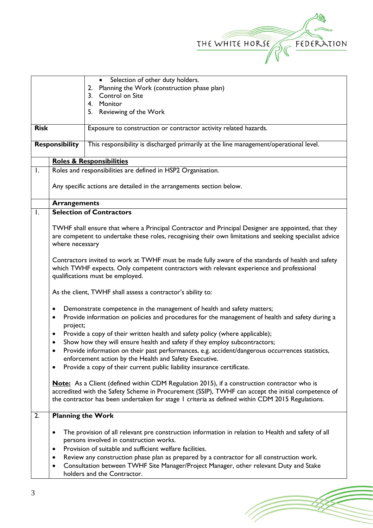

(Toponial)

|                                                   |                                                                                                                                                                                                                                    | Selection of other duty holders.<br>$\bullet$                                                                                                                                                                                                                                                                                                                                                                                  |  |
|---------------------------------------------------|------------------------------------------------------------------------------------------------------------------------------------------------------------------------------------------------------------------------------------|--------------------------------------------------------------------------------------------------------------------------------------------------------------------------------------------------------------------------------------------------------------------------------------------------------------------------------------------------------------------------------------------------------------------------------|--|
| Planning the Work (construction phase plan)<br>2. |                                                                                                                                                                                                                                    |                                                                                                                                                                                                                                                                                                                                                                                                                                |  |
|                                                   |                                                                                                                                                                                                                                    | Control on Site<br>3.                                                                                                                                                                                                                                                                                                                                                                                                          |  |
|                                                   |                                                                                                                                                                                                                                    | 4.<br>Monitor                                                                                                                                                                                                                                                                                                                                                                                                                  |  |
|                                                   |                                                                                                                                                                                                                                    | Reviewing of the Work<br>5.                                                                                                                                                                                                                                                                                                                                                                                                    |  |
| <b>Risk</b>                                       | Exposure to construction or contractor activity related hazards.                                                                                                                                                                   |                                                                                                                                                                                                                                                                                                                                                                                                                                |  |
|                                                   | <b>Responsibility</b>                                                                                                                                                                                                              | This responsibility is discharged primarily at the line management/operational level.                                                                                                                                                                                                                                                                                                                                          |  |
|                                                   |                                                                                                                                                                                                                                    | <b>Roles &amp; Responsibilities</b>                                                                                                                                                                                                                                                                                                                                                                                            |  |
| Ι.                                                |                                                                                                                                                                                                                                    | Roles and responsibilities are defined in HSP2 Organisation.                                                                                                                                                                                                                                                                                                                                                                   |  |
|                                                   | Any specific actions are detailed in the arrangements section below.                                                                                                                                                               |                                                                                                                                                                                                                                                                                                                                                                                                                                |  |
|                                                   | <b>Arrangements</b>                                                                                                                                                                                                                |                                                                                                                                                                                                                                                                                                                                                                                                                                |  |
| Ι.                                                |                                                                                                                                                                                                                                    | <b>Selection of Contractors</b>                                                                                                                                                                                                                                                                                                                                                                                                |  |
|                                                   | where necessary                                                                                                                                                                                                                    | TWHF shall ensure that where a Principal Contractor and Principal Designer are appointed, that they<br>are competent to undertake these roles, recognising their own limitations and seeking specialist advice                                                                                                                                                                                                                 |  |
|                                                   | Contractors invited to work at TWHF must be made fully aware of the standards of health and safety<br>which TWHF expects. Only competent contractors with relevant experience and professional<br>qualifications must be employed. |                                                                                                                                                                                                                                                                                                                                                                                                                                |  |
|                                                   |                                                                                                                                                                                                                                    | As the client, TWHF shall assess a contractor's ability to:                                                                                                                                                                                                                                                                                                                                                                    |  |
|                                                   | $\bullet$                                                                                                                                                                                                                          | Demonstrate competence in the management of health and safety matters;                                                                                                                                                                                                                                                                                                                                                         |  |
|                                                   | ٠<br>project;                                                                                                                                                                                                                      | Provide information on policies and procedures for the management of health and safety during a                                                                                                                                                                                                                                                                                                                                |  |
|                                                   | ٠                                                                                                                                                                                                                                  | Provide a copy of their written health and safety policy (where applicable);                                                                                                                                                                                                                                                                                                                                                   |  |
|                                                   |                                                                                                                                                                                                                                    | Show how they will ensure health and safety if they employ subcontractors;                                                                                                                                                                                                                                                                                                                                                     |  |
|                                                   | Provide information on their past performances, e.g. accident/dangerous occurrences statistics,<br>$\bullet$<br>enforcement action by the Health and Safety Executive.                                                             |                                                                                                                                                                                                                                                                                                                                                                                                                                |  |
|                                                   | Provide a copy of their current public liability insurance certificate.                                                                                                                                                            |                                                                                                                                                                                                                                                                                                                                                                                                                                |  |
|                                                   |                                                                                                                                                                                                                                    | <b>Note:</b> As a Client (defined within CDM Regulation 2015), if a construction contractor who is<br>accredited with the Safety Scheme in Procurement (SSIP), TWHF can accept the initial competence of<br>the contractor has been undertaken for stage I criteria as defined within CDM 2015 Regulations.                                                                                                                    |  |
| 2.                                                | <b>Planning the Work</b>                                                                                                                                                                                                           |                                                                                                                                                                                                                                                                                                                                                                                                                                |  |
|                                                   | $\bullet$<br>$\bullet$                                                                                                                                                                                                             | The provision of all relevant pre construction information in relation to Health and safety of all<br>persons involved in construction works.<br>Provision of suitable and sufficient welfare facilities.<br>Review any construction phase plan as prepared by a contractor for all construction work.<br>Consultation between TWHF Site Manager/Project Manager, other relevant Duty and Stake<br>holders and the Contractor. |  |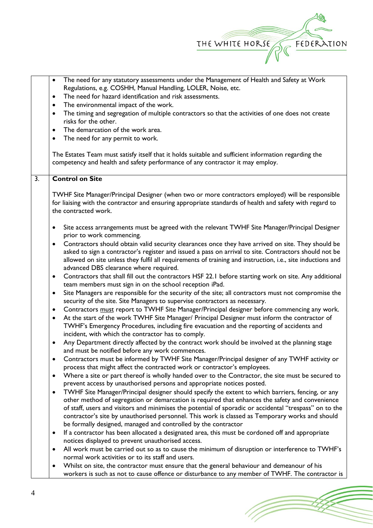

| The need for any statutory assessments under the Management of Health and Safety at Work<br>$\bullet$<br>Regulations, e.g. COSHH, Manual Handling, LOLER, Noise, etc.<br>The need for hazard identification and risk assessments.<br>$\bullet$<br>The environmental impact of the work.<br>$\bullet$<br>The timing and segregation of multiple contractors so that the activities of one does not create<br>$\bullet$<br>risks for the other.<br>The demarcation of the work area.<br>$\bullet$<br>The need for any permit to work.<br>٠<br>The Estates Team must satisfy itself that it holds suitable and sufficient information regarding the |  |  |
|--------------------------------------------------------------------------------------------------------------------------------------------------------------------------------------------------------------------------------------------------------------------------------------------------------------------------------------------------------------------------------------------------------------------------------------------------------------------------------------------------------------------------------------------------------------------------------------------------------------------------------------------------|--|--|
| competency and health and safety performance of any contractor it may employ.                                                                                                                                                                                                                                                                                                                                                                                                                                                                                                                                                                    |  |  |
| <b>Control on Site</b>                                                                                                                                                                                                                                                                                                                                                                                                                                                                                                                                                                                                                           |  |  |
| TWHF Site Manager/Principal Designer (when two or more contractors employed) will be responsible<br>for liaising with the contractor and ensuring appropriate standards of health and safety with regard to<br>the contracted work.                                                                                                                                                                                                                                                                                                                                                                                                              |  |  |
| Site access arrangements must be agreed with the relevant TWHF Site Manager/Principal Designer<br>٠<br>prior to work commencing.                                                                                                                                                                                                                                                                                                                                                                                                                                                                                                                 |  |  |
| Contractors should obtain valid security clearances once they have arrived on site. They should be<br>$\bullet$<br>asked to sign a contractor's register and issued a pass on arrival to site. Contractors should not be<br>allowed on site unless they fulfil all requirements of training and instruction, i.e., site inductions and<br>advanced DBS clearance where required.                                                                                                                                                                                                                                                                 |  |  |
| Contractors that shall fill out the contractors HSF 22.1 before starting work on site. Any additional<br>$\bullet$<br>team members must sign in on the school reception iPad.                                                                                                                                                                                                                                                                                                                                                                                                                                                                    |  |  |
| Site Managers are responsible for the security of the site; all contractors must not compromise the<br>$\bullet$<br>security of the site. Site Managers to supervise contractors as necessary.                                                                                                                                                                                                                                                                                                                                                                                                                                                   |  |  |
| Contractors must report to TWHF Site Manager/Principal designer before commencing any work.<br>$\bullet$<br>At the start of the work TWHF Site Manager/ Principal Designer must inform the contractor of<br>$\bullet$<br>TWHF's Emergency Procedures, including fire evacuation and the reporting of accidents and<br>incident, with which the contractor has to comply.                                                                                                                                                                                                                                                                         |  |  |
| Any Department directly affected by the contract work should be involved at the planning stage<br>$\bullet$<br>and must be notified before any work commences.                                                                                                                                                                                                                                                                                                                                                                                                                                                                                   |  |  |
| Contractors must be informed by TWHF Site Manager/Principal designer of any TWHF activity or<br>process that might affect the contracted work or contractor's employees.                                                                                                                                                                                                                                                                                                                                                                                                                                                                         |  |  |
| Where a site or part thereof is wholly handed over to the Contractor, the site must be secured to<br>٠<br>prevent access by unauthorised persons and appropriate notices posted.                                                                                                                                                                                                                                                                                                                                                                                                                                                                 |  |  |
| TWHF Site Manager/Principal designer should specify the extent to which barriers, fencing, or any<br>٠<br>other method of segregation or demarcation is required that enhances the safety and convenience<br>of staff, users and visitors and minimises the potential of sporadic or accidental "trespass" on to the<br>contractor's site by unauthorised personnel. This work is classed as Temporary works and should<br>be formally designed, managed and controlled by the contractor                                                                                                                                                        |  |  |
| If a contractor has been allocated a designated area, this must be cordoned off and appropriate<br>٠<br>notices displayed to prevent unauthorised access.                                                                                                                                                                                                                                                                                                                                                                                                                                                                                        |  |  |
| All work must be carried out so as to cause the minimum of disruption or interference to TWHF's<br>normal work activities or to its staff and users.                                                                                                                                                                                                                                                                                                                                                                                                                                                                                             |  |  |
| Whilst on site, the contractor must ensure that the general behaviour and demeanour of his<br>٠<br>workers is such as not to cause offence or disturbance to any member of TWHF. The contractor is                                                                                                                                                                                                                                                                                                                                                                                                                                               |  |  |
|                                                                                                                                                                                                                                                                                                                                                                                                                                                                                                                                                                                                                                                  |  |  |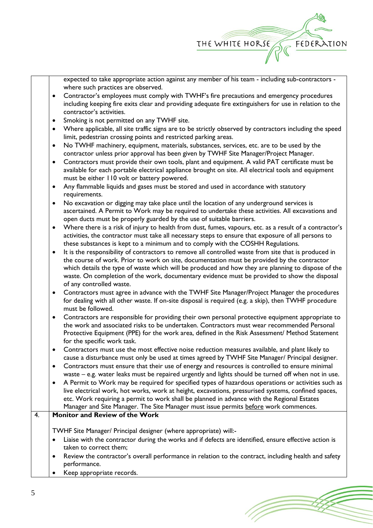

expected to take appropriate action against any member of his team - including sub-contractors where such practices are observed.

- Contractor's employees must comply with TWHF's fire precautions and emergency procedures including keeping fire exits clear and providing adequate fire extinguishers for use in relation to the contractor's activities.
- Smoking is not permitted on any TWHF site.
- Where applicable, all site traffic signs are to be strictly observed by contractors including the speed limit, pedestrian crossing points and restricted parking areas.
- No TWHF machinery, equipment, materials, substances, services, etc. are to be used by the contractor unless prior approval has been given by TWHF Site Manager/Project Manager.
- Contractors must provide their own tools, plant and equipment. A valid PAT certificate must be available for each portable electrical appliance brought on site. All electrical tools and equipment must be either 110 volt or battery powered.
- Any flammable liquids and gases must be stored and used in accordance with statutory requirements.
- No excavation or digging may take place until the location of any underground services is ascertained. A Permit to Work may be required to undertake these activities. All excavations and open ducts must be properly guarded by the use of suitable barriers.
- Where there is a risk of injury to health from dust, fumes, vapours, etc. as a result of a contractor's activities, the contractor must take all necessary steps to ensure that exposure of all persons to these substances is kept to a minimum and to comply with the COSHH Regulations.
- It is the responsibility of contractors to remove all controlled waste from site that is produced in the course of work. Prior to work on site, documentation must be provided by the contractor which details the type of waste which will be produced and how they are planning to dispose of the waste. On completion of the work, documentary evidence must be provided to show the disposal of any controlled waste.
- Contractors must agree in advance with the TWHF Site Manager/Project Manager the procedures for dealing with all other waste. If on-site disposal is required (e.g. a skip), then TWHF procedure must be followed.
- Contractors are responsible for providing their own personal protective equipment appropriate to the work and associated risks to be undertaken. Contractors must wear recommended Personal Protective Equipment (PPE) for the work area, defined in the Risk Assessment/ Method Statement for the specific work task.
- Contractors must use the most effective noise reduction measures available, and plant likely to cause a disturbance must only be used at times agreed by TWHF Site Manager/ Principal designer.
- Contractors must ensure that their use of energy and resources is controlled to ensure minimal waste – e.g. water leaks must be repaired urgently and lights should be turned off when not in use.
- A Permit to Work may be required for specified types of hazardous operations or activities such as live electrical work, hot works, work at height, excavations, pressurised systems, confined spaces, etc. Work requiring a permit to work shall be planned in advance with the Regional Estates Manager and Site Manager. The Site Manager must issue permits before work commences.

## 4. **Monitor and Review of the Work**

TWHF Site Manager/ Principal designer (where appropriate) will:-

- Liaise with the contractor during the works and if defects are identified, ensure effective action is taken to correct them;
- Review the contractor's overall performance in relation to the contract, including health and safety performance.
- Keep appropriate records.